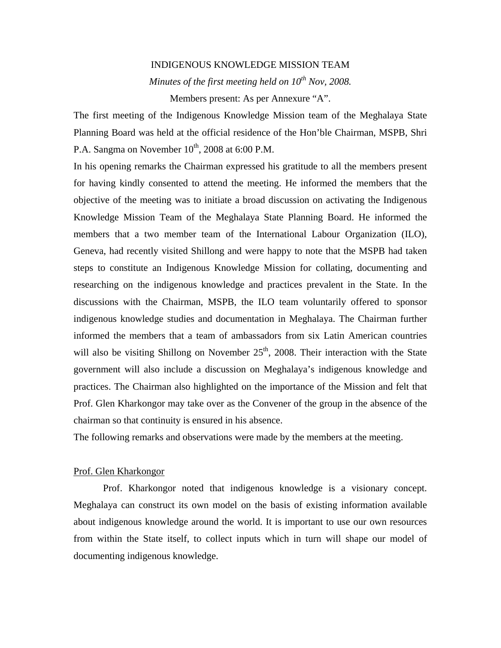## INDIGENOUS KNOWLEDGE MISSION TEAM

*Minutes of the first meeting held on 10th Nov, 2008.* 

Members present: As per Annexure "A".

The first meeting of the Indigenous Knowledge Mission team of the Meghalaya State Planning Board was held at the official residence of the Hon'ble Chairman, MSPB, Shri P.A. Sangma on November  $10^{th}$ , 2008 at 6:00 P.M.

In his opening remarks the Chairman expressed his gratitude to all the members present for having kindly consented to attend the meeting. He informed the members that the objective of the meeting was to initiate a broad discussion on activating the Indigenous Knowledge Mission Team of the Meghalaya State Planning Board. He informed the members that a two member team of the International Labour Organization (ILO), Geneva, had recently visited Shillong and were happy to note that the MSPB had taken steps to constitute an Indigenous Knowledge Mission for collating, documenting and researching on the indigenous knowledge and practices prevalent in the State. In the discussions with the Chairman, MSPB, the ILO team voluntarily offered to sponsor indigenous knowledge studies and documentation in Meghalaya. The Chairman further informed the members that a team of ambassadors from six Latin American countries will also be visiting Shillong on November  $25<sup>th</sup>$ , 2008. Their interaction with the State government will also include a discussion on Meghalaya's indigenous knowledge and practices. The Chairman also highlighted on the importance of the Mission and felt that Prof. Glen Kharkongor may take over as the Convener of the group in the absence of the chairman so that continuity is ensured in his absence.

The following remarks and observations were made by the members at the meeting.

#### Prof. Glen Kharkongor

Prof. Kharkongor noted that indigenous knowledge is a visionary concept. Meghalaya can construct its own model on the basis of existing information available about indigenous knowledge around the world. It is important to use our own resources from within the State itself, to collect inputs which in turn will shape our model of documenting indigenous knowledge.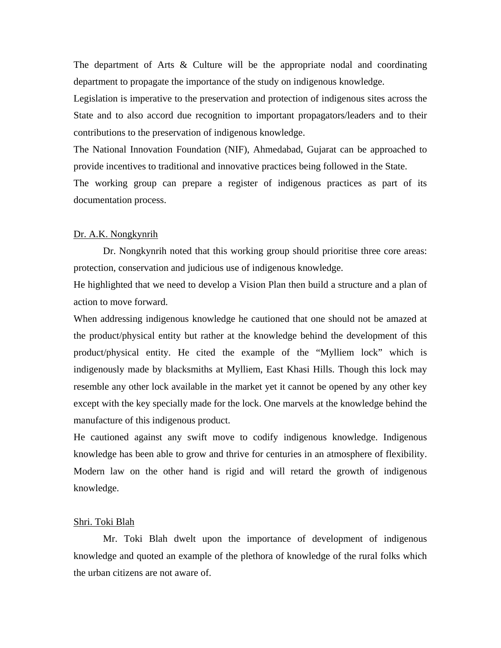The department of Arts & Culture will be the appropriate nodal and coordinating department to propagate the importance of the study on indigenous knowledge.

Legislation is imperative to the preservation and protection of indigenous sites across the State and to also accord due recognition to important propagators/leaders and to their contributions to the preservation of indigenous knowledge.

The National Innovation Foundation (NIF), Ahmedabad, Gujarat can be approached to provide incentives to traditional and innovative practices being followed in the State.

The working group can prepare a register of indigenous practices as part of its documentation process.

#### Dr. A.K. Nongkynrih

Dr. Nongkynrih noted that this working group should prioritise three core areas: protection, conservation and judicious use of indigenous knowledge.

He highlighted that we need to develop a Vision Plan then build a structure and a plan of action to move forward.

When addressing indigenous knowledge he cautioned that one should not be amazed at the product/physical entity but rather at the knowledge behind the development of this product/physical entity. He cited the example of the "Mylliem lock" which is indigenously made by blacksmiths at Mylliem, East Khasi Hills. Though this lock may resemble any other lock available in the market yet it cannot be opened by any other key except with the key specially made for the lock. One marvels at the knowledge behind the manufacture of this indigenous product.

He cautioned against any swift move to codify indigenous knowledge. Indigenous knowledge has been able to grow and thrive for centuries in an atmosphere of flexibility. Modern law on the other hand is rigid and will retard the growth of indigenous knowledge.

## Shri. Toki Blah

Mr. Toki Blah dwelt upon the importance of development of indigenous knowledge and quoted an example of the plethora of knowledge of the rural folks which the urban citizens are not aware of.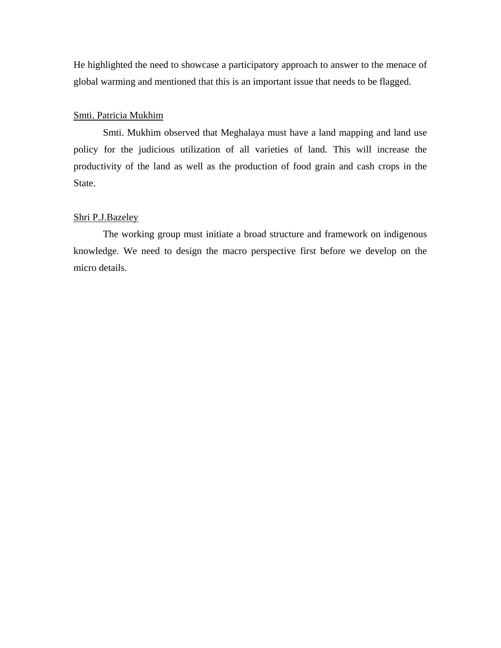He highlighted the need to showcase a participatory approach to answer to the menace of global warming and mentioned that this is an important issue that needs to be flagged.

# Smti. Patricia Mukhim

Smti. Mukhim observed that Meghalaya must have a land mapping and land use policy for the judicious utilization of all varieties of land. This will increase the productivity of the land as well as the production of food grain and cash crops in the State.

#### Shri P.J.Bazeley

The working group must initiate a broad structure and framework on indigenous knowledge. We need to design the macro perspective first before we develop on the micro details.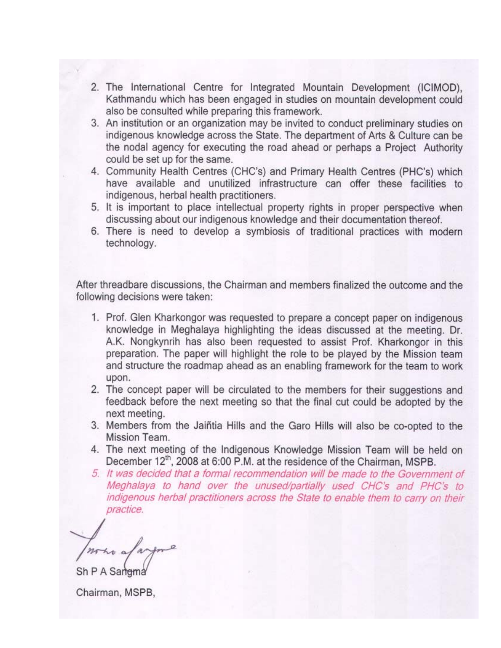- 2. The International Centre for Integrated Mountain Development (ICIMOD), Kathmandu which has been engaged in studies on mountain development could also be consulted while preparing this framework.
- 3. An institution or an organization may be invited to conduct preliminary studies on indigenous knowledge across the State. The department of Arts & Culture can be the nodal agency for executing the road ahead or perhaps a Project Authority could be set up for the same.
- 4. Community Health Centres (CHC's) and Primary Health Centres (PHC's) which have available and unutilized infrastructure can offer these facilities to indigenous, herbal health practitioners.
- 5. It is important to place intellectual property rights in proper perspective when discussing about our indigenous knowledge and their documentation thereof.
- 6. There is need to develop a symbiosis of traditional practices with modern technology.

After threadbare discussions, the Chairman and members finalized the outcome and the following decisions were taken:

- 1. Prof. Glen Kharkongor was requested to prepare a concept paper on indigenous knowledge in Meghalaya highlighting the ideas discussed at the meeting. Dr. A.K. Nongkynrih has also been requested to assist Prof. Kharkongor in this preparation. The paper will highlight the role to be played by the Mission team and structure the roadmap ahead as an enabling framework for the team to work upon.
- 2. The concept paper will be circulated to the members for their suggestions and feedback before the next meeting so that the final cut could be adopted by the next meeting.
- 3. Members from the Jaiñtia Hills and the Garo Hills will also be co-opted to the Mission Team.
- 4. The next meeting of the Indigenous Knowledge Mission Team will be held on December 12<sup>th</sup>, 2008 at 6:00 P.M. at the residence of the Chairman, MSPB.
- 5. It was decided that a formal recommendation will be made to the Government of Meghalaya to hand over the unused/partially used CHC's and PHC's to indigenous herbal practitioners across the State to enable them to carry on their practice.

Sh P A Sarrgma

Chairman, MSPB,